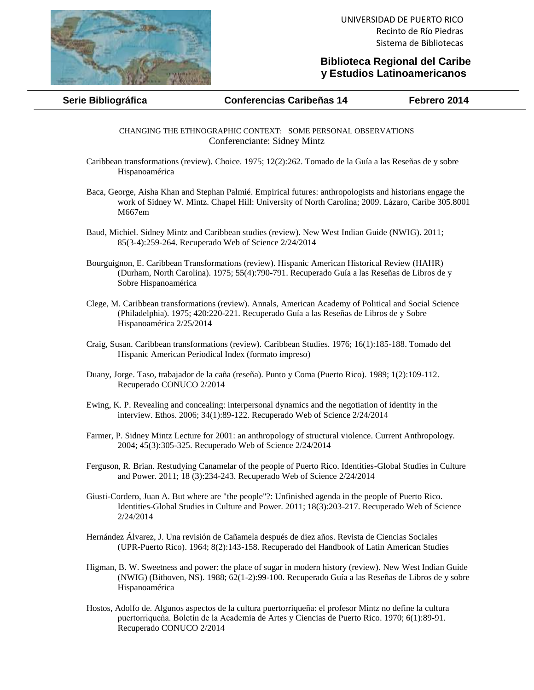

## **Biblioteca Regional del Caribe y Estudios Latinoamericanos**

**Serie Bibliográfica Conferencias Caribeñas 14 Febrero 2014**

CHANGING THE ETHNOGRAPHIC CONTEXT: SOME PERSONAL OBSERVATIONS Conferenciante: Sidney Mintz

- Caribbean transformations (review). Choice. 1975; 12(2):262. Tomado de la Guía a las Reseñas de y sobre Hispanoamérica
- Baca, George, Aisha Khan and Stephan Palmié. Empirical futures: anthropologists and historians engage the work of Sidney W. Mintz. Chapel Hill: University of North Carolina; 2009. Lázaro, Caribe 305.8001 M667em
- Baud, Michiel. Sidney Mintz and Caribbean studies (review). New West Indian Guide (NWIG). 2011; 85(3-4):259-264. Recuperado Web of Science 2/24/2014
- Bourguignon, E. Caribbean Transformations (review). Hispanic American Historical Review (HAHR) (Durham, North Carolina). 1975; 55(4):790-791. Recuperado Guía a las Reseñas de Libros de y Sobre Hispanoamérica
- Clege, M. Caribbean transformations (review). Annals, American Academy of Political and Social Science (Philadelphia). 1975; 420:220-221. Recuperado Guía a las Reseñas de Libros de y Sobre Hispanoamérica 2/25/2014
- Craig, Susan. Caribbean transformations (review). Caribbean Studies. 1976; 16(1):185-188. Tomado del Hispanic American Periodical Index (formato impreso)
- Duany, Jorge. Taso, trabajador de la caña (reseña). Punto y Coma (Puerto Rico). 1989; 1(2):109-112. Recuperado CONUCO 2/2014
- Ewing, K. P. Revealing and concealing: interpersonal dynamics and the negotiation of identity in the interview. Ethos. 2006; 34(1):89-122. Recuperado Web of Science 2/24/2014
- Farmer, P. Sidney Mintz Lecture for 2001: an anthropology of structural violence. Current Anthropology. 2004; 45(3):305-325. Recuperado Web of Science 2/24/2014
- Ferguson, R. Brian. Restudying Canamelar of the people of Puerto Rico. Identities-Global Studies in Culture and Power. 2011; 18 (3):234-243. Recuperado Web of Science 2/24/2014
- Giusti-Cordero, Juan A. But where are "the people"?: Unfinished agenda in the people of Puerto Rico. Identities-Global Studies in Culture and Power. 2011; 18(3):203-217. Recuperado Web of Science 2/24/2014
- Hernández Álvarez, J. Una revisión de Cañamela después de diez años. Revista de Ciencias Sociales (UPR-Puerto Rico). 1964; 8(2):143-158. Recuperado del Handbook of Latin American Studies
- Higman, B. W. Sweetness and power: the place of sugar in modern history (review). New West Indian Guide (NWIG) (Bithoven, NS). 1988; 62(1-2):99-100. Recuperado Guía a las Reseñas de Libros de y sobre Hispanoamérica
- Hostos, Adolfo de. Algunos aspectos de la cultura puertorriqueña: el profesor Mintz no define la cultura puertorriqueńa. Boletín de la Academia de Artes y Ciencias de Puerto Rico. 1970; 6(1):89-91. Recuperado CONUCO 2/2014